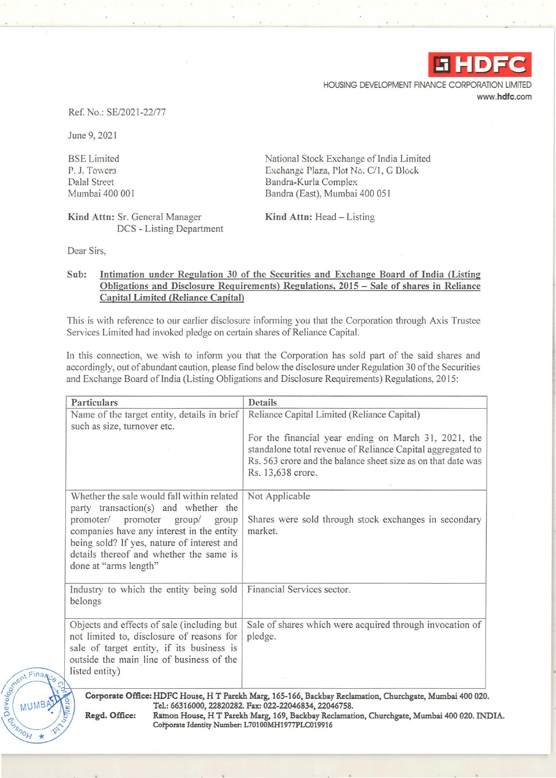

HOUSING DEVELOPMENT FINANCE CORPORATION LIMITED www.hdfc.com

Ref. No.: SE/202 1-22/77

June 9, 202 1

BSE Limited P. J. Towers Dalal Street Mumbai 400 001

Kind Attn: Sr. General Manager DCS - Listing Department National Stock Exchange of India Limited Exchange Plaza, Plot No. C/1, G Dlock Bandra-Kurla Complex Bandra (East), Mumbai 400 05 1

Kind Attn: Head - Listing

Dear Sirs,

 $Fina$ 

**UME** 

Develon

## Sub: Intimation under Regulation 30 of the Securities and Exchange Board of India (Listing Obligations and Disclosure Requirements) Regulations, 2015 - Sale of shares in Reliance Capital Limited (Reliance Capital)

This is with reference to our earlier disclosure informing you that the Corporation through Axis Trustee Services Limited had invoked pledge on certain shares of Reliance Capital.

In this connection, we wish to inform you that the Corporation has sold part of the said shares and accordingly, out of abundant caution, please find below the disclosure under Regulation 30 of the Securities and Exchange Board of India (Listing Obligations and Disclosure Requirements) Regulations, 2015:

| <b>Details</b>                                                                                                                                                                                          |
|---------------------------------------------------------------------------------------------------------------------------------------------------------------------------------------------------------|
| Reliance Capital Limited (Reliance Capital)                                                                                                                                                             |
| For the financial year ending on March 31, 2021, the<br>standalone total revenue of Reliance Capital aggregated to<br>Rs. 563 crore and the balance sheet size as on that date was<br>Rs. 13,638 crore. |
| Not Applicable                                                                                                                                                                                          |
| Shares were sold through stock exchanges in secondary<br>market.                                                                                                                                        |
| Financial Services sector.                                                                                                                                                                              |
| Sale of shares which were acquired through invocation of<br>pledge.                                                                                                                                     |
| Name of the target entity, details in brief<br>companies have any interest in the entity                                                                                                                |